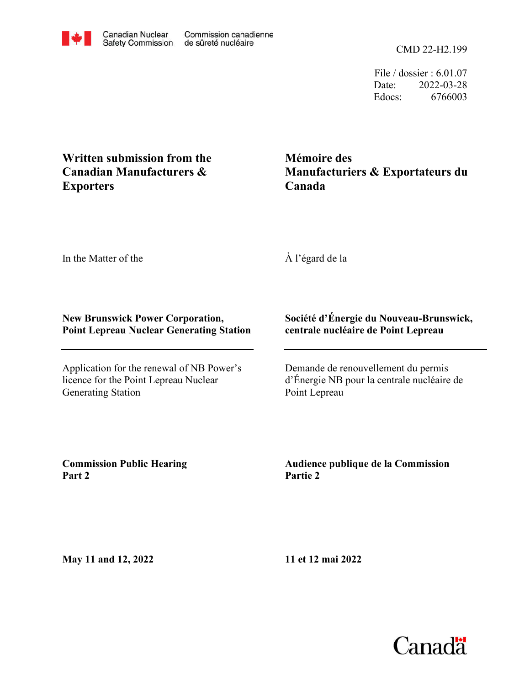CMD 22-H2.199

File / dossier : 6.01.07 Date: 2022-03-28 Edocs: 6766003

# **Written submission from the Canadian Manufacturers & Exporters**

**Mémoire des Manufacturiers & Exportateurs du Canada**

In the Matter of the

À l'égard de la

## **New Brunswick Power Corporation, Point Lepreau Nuclear Generating Station**

Application for the renewal of NB Power's licence for the Point Lepreau Nuclear Generating Station

## **Société d'Énergie du Nouveau-Brunswick, centrale nucléaire de Point Lepreau**

Demande de renouvellement du permis d'Énergie NB pour la centrale nucléaire de Point Lepreau

**Commission Public Hearing Part 2**

**Audience publique de la Commission Partie 2**

**May 11 and 12, 2022**

**11 et 12 mai 2022**



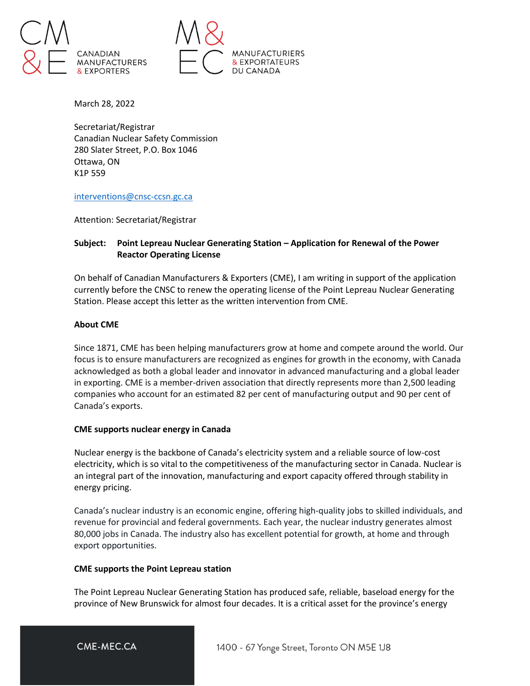



March 28, 2022

Secretariat/Registrar Canadian Nuclear Safety Commission 280 Slater Street, P.O. Box 1046 Ottawa, ON K1P 559

[interventions@cnsc-ccsn.gc.ca](mailto:interventions@cnsc-ccsn.gc.ca)

Attention: Secretariat/Registrar

## **Subject: Point Lepreau Nuclear Generating Station – Application for Renewal of the Power Reactor Operating License**

On behalf of Canadian Manufacturers & Exporters (CME), I am writing in support of the application currently before the CNSC to renew the operating license of the Point Lepreau Nuclear Generating Station. Please accept this letter as the written intervention from CME.

### **About CME**

Since 1871, CME has been helping manufacturers grow at home and compete around the world. Our focus is to ensure manufacturers are recognized as engines for growth in the economy, with Canada acknowledged as both a global leader and innovator in advanced manufacturing and a global leader in exporting. CME is a member-driven association that directly represents more than 2,500 leading companies who account for an estimated 82 per cent of manufacturing output and 90 per cent of Canada's exports.

### **CME supports nuclear energy in Canada**

Nuclear energy is the backbone of Canada's electricity system and a reliable source of low-cost electricity, which is so vital to the competitiveness of the manufacturing sector in Canada. Nuclear is an integral part of the innovation, manufacturing and export capacity offered through stability in energy pricing.

Canada's nuclear industry is an economic engine, offering high-quality jobs to skilled individuals, and revenue for provincial and federal governments. Each year, the nuclear industry generates almost 80,000 jobs in Canada. The industry also has excellent potential for growth, at home and through export opportunities.

#### **CME supports the Point Lepreau station**

The Point Lepreau Nuclear Generating Station has produced safe, reliable, baseload energy for the province of New Brunswick for almost four decades. It is a critical asset for the province's energy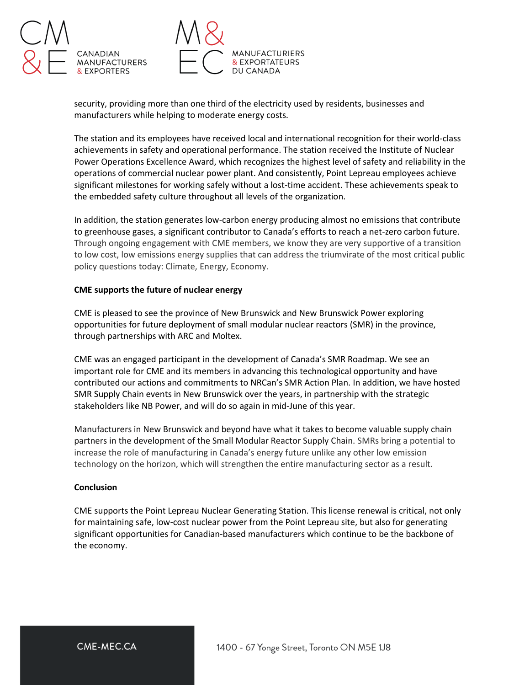



security, providing more than one third of the electricity used by residents, businesses and manufacturers while helping to moderate energy costs.

The station and its employees have received local and international recognition for their world-class achievements in safety and operational performance. The station received the Institute of Nuclear Power Operations Excellence Award, which recognizes the highest level of safety and reliability in the operations of commercial nuclear power plant. And consistently, Point Lepreau employees achieve significant milestones for working safely without a lost-time accident. These achievements speak to the embedded safety culture throughout all levels of the organization.

In addition, the station generates low-carbon energy producing almost no emissions that contribute to greenhouse gases, a significant contributor to Canada's efforts to reach a net-zero carbon future. Through ongoing engagement with CME members, we know they are very supportive of a transition to low cost, low emissions energy supplies that can address the triumvirate of the most critical public policy questions today: Climate, Energy, Economy.

#### **CME supports the future of nuclear energy**

CME is pleased to see the province of New Brunswick and New Brunswick Power exploring opportunities for future deployment of small modular nuclear reactors (SMR) in the province, through partnerships with ARC and Moltex.

CME was an engaged participant in the development of Canada's SMR Roadmap. We see an important role for CME and its members in advancing this technological opportunity and have contributed our actions and commitments to NRCan's SMR Action Plan. In addition, we have hosted SMR Supply Chain events in New Brunswick over the years, in partnership with the strategic stakeholders like NB Power, and will do so again in mid-June of this year.

Manufacturers in New Brunswick and beyond have what it takes to become valuable supply chain partners in the development of the Small Modular Reactor Supply Chain. SMRs bring a potential to increase the role of manufacturing in Canada's energy future unlike any other low emission technology on the horizon, which will strengthen the entire manufacturing sector as a result.

#### **Conclusion**

CME supports the Point Lepreau Nuclear Generating Station. This license renewal is critical, not only for maintaining safe, low-cost nuclear power from the Point Lepreau site, but also for generating significant opportunities for Canadian-based manufacturers which continue to be the backbone of the economy.